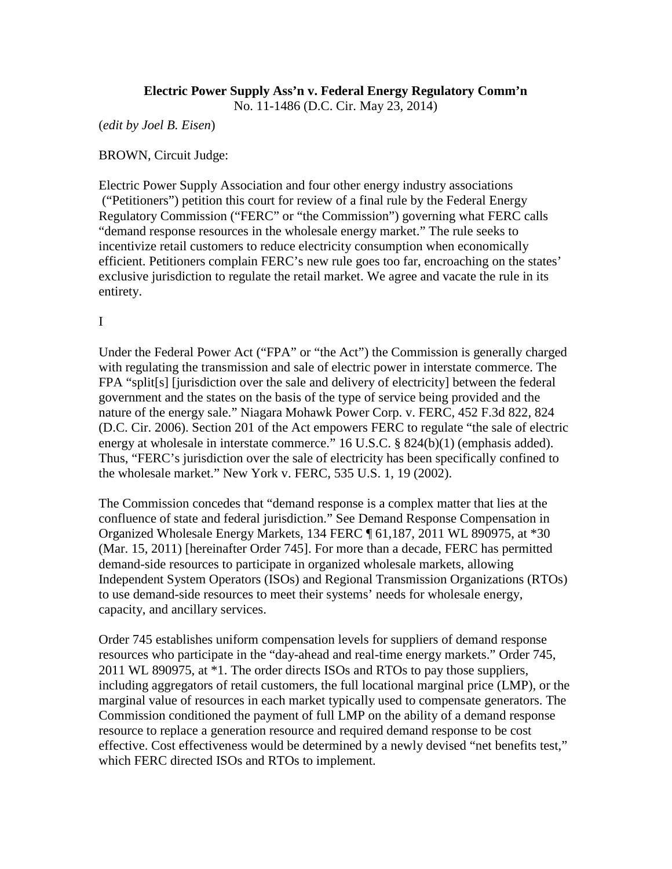## **Electric Power Supply Ass'n v. Federal Energy Regulatory Comm'n**

No. 11-1486 (D.C. Cir. May 23, 2014)

(*edit by Joel B. Eisen*)

BROWN, Circuit Judge:

Electric Power Supply Association and four other energy industry associations ("Petitioners") petition this court for review of a final rule by the Federal Energy Regulatory Commission ("FERC" or "the Commission") governing what FERC calls "demand response resources in the wholesale energy market." The rule seeks to incentivize retail customers to reduce electricity consumption when economically efficient. Petitioners complain FERC's new rule goes too far, encroaching on the states' exclusive jurisdiction to regulate the retail market. We agree and vacate the rule in its entirety.

I

Under the Federal Power Act ("FPA" or "the Act") the Commission is generally charged with regulating the transmission and sale of electric power in interstate commerce. The FPA "split[s] [jurisdiction over the sale and delivery of electricity] between the federal government and the states on the basis of the type of service being provided and the nature of the energy sale." Niagara Mohawk Power Corp. v. FERC, 452 F.3d 822, 824 (D.C. Cir. 2006). Section 201 of the Act empowers FERC to regulate "the sale of electric energy at wholesale in interstate commerce." 16 U.S.C. § 824(b)(1) (emphasis added). Thus, "FERC's jurisdiction over the sale of electricity has been specifically confined to the wholesale market." New York v. FERC, 535 U.S. 1, 19 (2002).

The Commission concedes that "demand response is a complex matter that lies at the confluence of state and federal jurisdiction." See Demand Response Compensation in Organized Wholesale Energy Markets, 134 FERC ¶ 61,187, 2011 WL 890975, at \*30 (Mar. 15, 2011) [hereinafter Order 745]. For more than a decade, FERC has permitted demand-side resources to participate in organized wholesale markets, allowing Independent System Operators (ISOs) and Regional Transmission Organizations (RTOs) to use demand-side resources to meet their systems' needs for wholesale energy, capacity, and ancillary services.

Order 745 establishes uniform compensation levels for suppliers of demand response resources who participate in the "day-ahead and real-time energy markets." Order 745, 2011 WL 890975, at \*1. The order directs ISOs and RTOs to pay those suppliers, including aggregators of retail customers, the full locational marginal price (LMP), or the marginal value of resources in each market typically used to compensate generators. The Commission conditioned the payment of full LMP on the ability of a demand response resource to replace a generation resource and required demand response to be cost effective. Cost effectiveness would be determined by a newly devised "net benefits test," which FERC directed ISOs and RTOs to implement.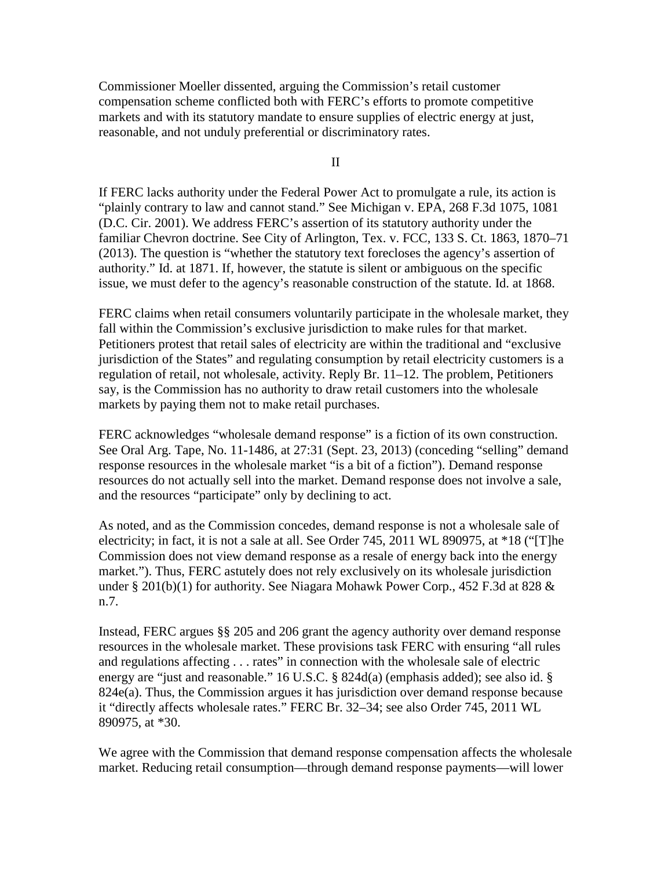Commissioner Moeller dissented, arguing the Commission's retail customer compensation scheme conflicted both with FERC's efforts to promote competitive markets and with its statutory mandate to ensure supplies of electric energy at just, reasonable, and not unduly preferential or discriminatory rates.

II

If FERC lacks authority under the Federal Power Act to promulgate a rule, its action is "plainly contrary to law and cannot stand." See Michigan v. EPA, 268 F.3d 1075, 1081 (D.C. Cir. 2001). We address FERC's assertion of its statutory authority under the familiar Chevron doctrine. See City of Arlington, Tex. v. FCC, 133 S. Ct. 1863, 1870–71 (2013). The question is "whether the statutory text forecloses the agency's assertion of authority." Id. at 1871. If, however, the statute is silent or ambiguous on the specific issue, we must defer to the agency's reasonable construction of the statute. Id. at 1868.

FERC claims when retail consumers voluntarily participate in the wholesale market, they fall within the Commission's exclusive jurisdiction to make rules for that market. Petitioners protest that retail sales of electricity are within the traditional and "exclusive jurisdiction of the States" and regulating consumption by retail electricity customers is a regulation of retail, not wholesale, activity. Reply Br. 11–12. The problem, Petitioners say, is the Commission has no authority to draw retail customers into the wholesale markets by paying them not to make retail purchases.

FERC acknowledges "wholesale demand response" is a fiction of its own construction. See Oral Arg. Tape, No. 11-1486, at 27:31 (Sept. 23, 2013) (conceding "selling" demand response resources in the wholesale market "is a bit of a fiction"). Demand response resources do not actually sell into the market. Demand response does not involve a sale, and the resources "participate" only by declining to act.

As noted, and as the Commission concedes, demand response is not a wholesale sale of electricity; in fact, it is not a sale at all. See Order 745, 2011 WL 890975, at \*18 ("[T]he Commission does not view demand response as a resale of energy back into the energy market."). Thus, FERC astutely does not rely exclusively on its wholesale jurisdiction under § 201(b)(1) for authority. See Niagara Mohawk Power Corp., 452 F.3d at 828 & n.7.

Instead, FERC argues §§ 205 and 206 grant the agency authority over demand response resources in the wholesale market. These provisions task FERC with ensuring "all rules and regulations affecting . . . rates" in connection with the wholesale sale of electric energy are "just and reasonable." 16 U.S.C. § 824d(a) (emphasis added); see also id. § 824e(a). Thus, the Commission argues it has jurisdiction over demand response because it "directly affects wholesale rates." FERC Br. 32–34; see also Order 745, 2011 WL 890975, at \*30.

We agree with the Commission that demand response compensation affects the wholesale market. Reducing retail consumption—through demand response payments—will lower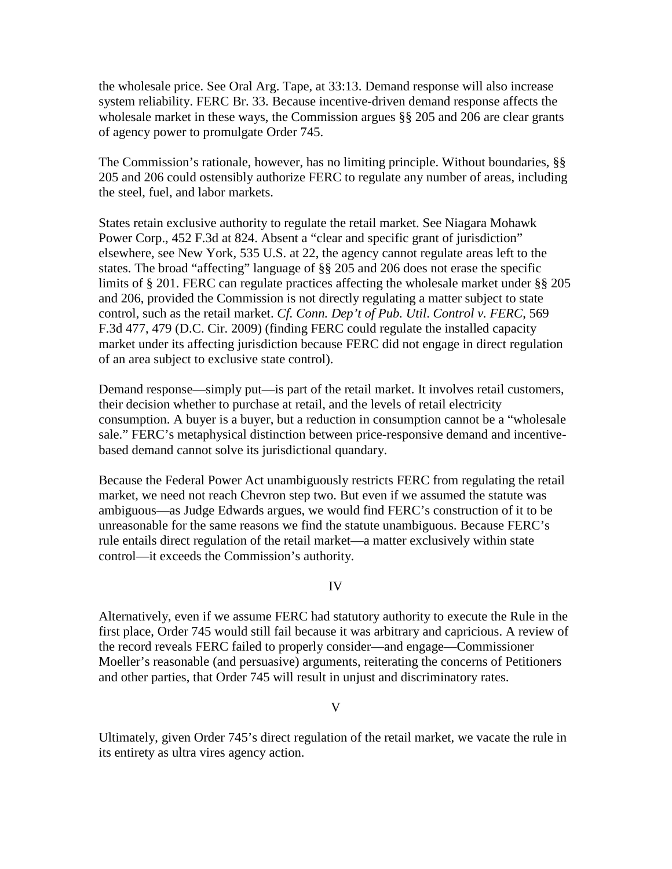the wholesale price. See Oral Arg. Tape, at 33:13. Demand response will also increase system reliability. FERC Br. 33. Because incentive-driven demand response affects the wholesale market in these ways, the Commission argues §§ 205 and 206 are clear grants of agency power to promulgate Order 745.

The Commission's rationale, however, has no limiting principle. Without boundaries, §§ 205 and 206 could ostensibly authorize FERC to regulate any number of areas, including the steel, fuel, and labor markets.

States retain exclusive authority to regulate the retail market. See Niagara Mohawk Power Corp., 452 F.3d at 824. Absent a "clear and specific grant of jurisdiction" elsewhere, see New York, 535 U.S. at 22, the agency cannot regulate areas left to the states. The broad "affecting" language of §§ 205 and 206 does not erase the specific limits of § 201. FERC can regulate practices affecting the wholesale market under §§ 205 and 206, provided the Commission is not directly regulating a matter subject to state control, such as the retail market. *Cf. Conn. Dep't of Pub. Util*. *Control v. FERC*, 569 F.3d 477, 479 (D.C. Cir. 2009) (finding FERC could regulate the installed capacity market under its affecting jurisdiction because FERC did not engage in direct regulation of an area subject to exclusive state control).

Demand response—simply put—is part of the retail market. It involves retail customers, their decision whether to purchase at retail, and the levels of retail electricity consumption. A buyer is a buyer, but a reduction in consumption cannot be a "wholesale sale." FERC's metaphysical distinction between price-responsive demand and incentivebased demand cannot solve its jurisdictional quandary.

Because the Federal Power Act unambiguously restricts FERC from regulating the retail market, we need not reach Chevron step two. But even if we assumed the statute was ambiguous—as Judge Edwards argues, we would find FERC's construction of it to be unreasonable for the same reasons we find the statute unambiguous. Because FERC's rule entails direct regulation of the retail market—a matter exclusively within state control—it exceeds the Commission's authority.

## IV

Alternatively, even if we assume FERC had statutory authority to execute the Rule in the first place, Order 745 would still fail because it was arbitrary and capricious. A review of the record reveals FERC failed to properly consider—and engage—Commissioner Moeller's reasonable (and persuasive) arguments, reiterating the concerns of Petitioners and other parties, that Order 745 will result in unjust and discriminatory rates.

## V

Ultimately, given Order 745's direct regulation of the retail market, we vacate the rule in its entirety as ultra vires agency action.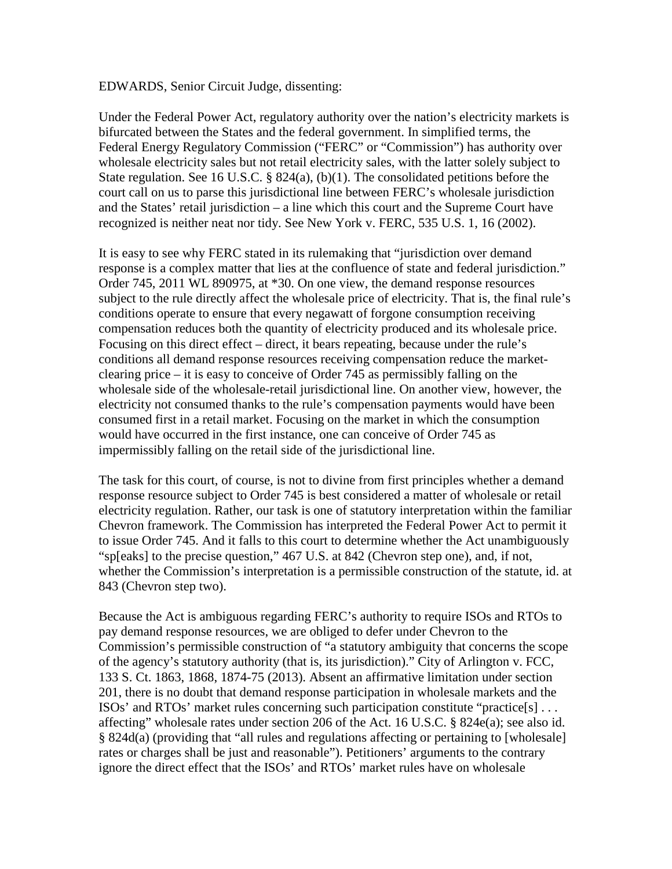EDWARDS, Senior Circuit Judge, dissenting:

Under the Federal Power Act, regulatory authority over the nation's electricity markets is bifurcated between the States and the federal government. In simplified terms, the Federal Energy Regulatory Commission ("FERC" or "Commission") has authority over wholesale electricity sales but not retail electricity sales, with the latter solely subject to State regulation. See 16 U.S.C. § 824(a), (b)(1). The consolidated petitions before the court call on us to parse this jurisdictional line between FERC's wholesale jurisdiction and the States' retail jurisdiction – a line which this court and the Supreme Court have recognized is neither neat nor tidy. See New York v. FERC, 535 U.S. 1, 16 (2002).

It is easy to see why FERC stated in its rulemaking that "jurisdiction over demand response is a complex matter that lies at the confluence of state and federal jurisdiction." Order 745, 2011 WL 890975, at \*30. On one view, the demand response resources subject to the rule directly affect the wholesale price of electricity. That is, the final rule's conditions operate to ensure that every negawatt of forgone consumption receiving compensation reduces both the quantity of electricity produced and its wholesale price. Focusing on this direct effect – direct, it bears repeating, because under the rule's conditions all demand response resources receiving compensation reduce the marketclearing price – it is easy to conceive of Order 745 as permissibly falling on the wholesale side of the wholesale-retail jurisdictional line. On another view, however, the electricity not consumed thanks to the rule's compensation payments would have been consumed first in a retail market. Focusing on the market in which the consumption would have occurred in the first instance, one can conceive of Order 745 as impermissibly falling on the retail side of the jurisdictional line.

The task for this court, of course, is not to divine from first principles whether a demand response resource subject to Order 745 is best considered a matter of wholesale or retail electricity regulation. Rather, our task is one of statutory interpretation within the familiar Chevron framework. The Commission has interpreted the Federal Power Act to permit it to issue Order 745. And it falls to this court to determine whether the Act unambiguously "sp[eaks] to the precise question," 467 U.S. at 842 (Chevron step one), and, if not, whether the Commission's interpretation is a permissible construction of the statute, id. at 843 (Chevron step two).

Because the Act is ambiguous regarding FERC's authority to require ISOs and RTOs to pay demand response resources, we are obliged to defer under Chevron to the Commission's permissible construction of "a statutory ambiguity that concerns the scope of the agency's statutory authority (that is, its jurisdiction)." City of Arlington v. FCC, 133 S. Ct. 1863, 1868, 1874-75 (2013). Absent an affirmative limitation under section 201, there is no doubt that demand response participation in wholesale markets and the ISOs' and RTOs' market rules concerning such participation constitute "practice[s] . . . affecting" wholesale rates under section 206 of the Act. 16 U.S.C. § 824e(a); see also id. § 824d(a) (providing that "all rules and regulations affecting or pertaining to [wholesale] rates or charges shall be just and reasonable"). Petitioners' arguments to the contrary ignore the direct effect that the ISOs' and RTOs' market rules have on wholesale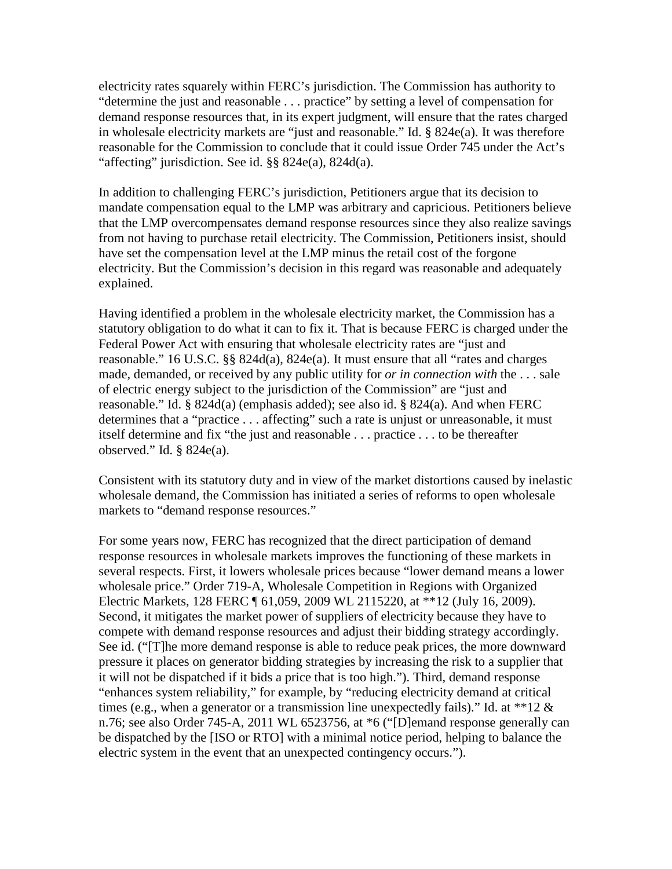electricity rates squarely within FERC's jurisdiction. The Commission has authority to "determine the just and reasonable . . . practice" by setting a level of compensation for demand response resources that, in its expert judgment, will ensure that the rates charged in wholesale electricity markets are "just and reasonable." Id. § 824e(a). It was therefore reasonable for the Commission to conclude that it could issue Order 745 under the Act's "affecting" jurisdiction. See id. §§ 824e(a), 824d(a).

In addition to challenging FERC's jurisdiction, Petitioners argue that its decision to mandate compensation equal to the LMP was arbitrary and capricious. Petitioners believe that the LMP overcompensates demand response resources since they also realize savings from not having to purchase retail electricity. The Commission, Petitioners insist, should have set the compensation level at the LMP minus the retail cost of the forgone electricity. But the Commission's decision in this regard was reasonable and adequately explained.

Having identified a problem in the wholesale electricity market, the Commission has a statutory obligation to do what it can to fix it. That is because FERC is charged under the Federal Power Act with ensuring that wholesale electricity rates are "just and reasonable." 16 U.S.C. §§ 824d(a), 824e(a). It must ensure that all "rates and charges made, demanded, or received by any public utility for *or in connection with* the . . . sale of electric energy subject to the jurisdiction of the Commission" are "just and reasonable." Id. § 824d(a) (emphasis added); see also id. § 824(a). And when FERC determines that a "practice . . . affecting" such a rate is unjust or unreasonable, it must itself determine and fix "the just and reasonable . . . practice . . . to be thereafter observed." Id. § 824e(a).

Consistent with its statutory duty and in view of the market distortions caused by inelastic wholesale demand, the Commission has initiated a series of reforms to open wholesale markets to "demand response resources."

For some years now, FERC has recognized that the direct participation of demand response resources in wholesale markets improves the functioning of these markets in several respects. First, it lowers wholesale prices because "lower demand means a lower wholesale price." Order 719-A, Wholesale Competition in Regions with Organized Electric Markets, 128 FERC ¶ 61,059, 2009 WL 2115220, at \*\*12 (July 16, 2009). Second, it mitigates the market power of suppliers of electricity because they have to compete with demand response resources and adjust their bidding strategy accordingly. See id. ("[T]he more demand response is able to reduce peak prices, the more downward pressure it places on generator bidding strategies by increasing the risk to a supplier that it will not be dispatched if it bids a price that is too high."). Third, demand response "enhances system reliability," for example, by "reducing electricity demand at critical times (e.g., when a generator or a transmission line unexpectedly fails)." Id. at \*\*12  $\&$ n.76; see also Order 745-A, 2011 WL 6523756, at \*6 ("[D]emand response generally can be dispatched by the [ISO or RTO] with a minimal notice period, helping to balance the electric system in the event that an unexpected contingency occurs.").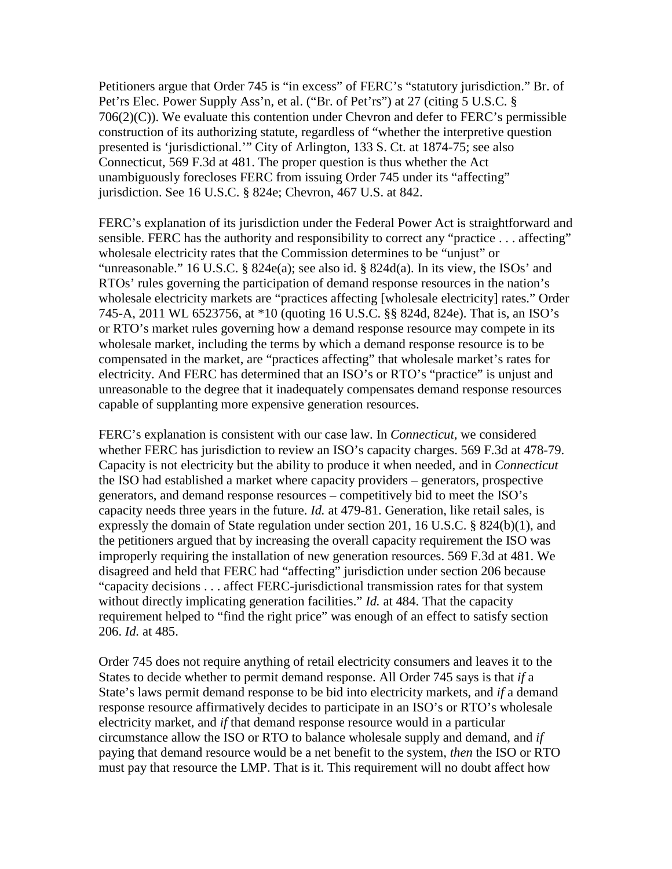Petitioners argue that Order 745 is "in excess" of FERC's "statutory jurisdiction." Br. of Pet'rs Elec. Power Supply Ass'n, et al. ("Br. of Pet'rs") at 27 (citing 5 U.S.C. §  $706(2)(C)$ ). We evaluate this contention under Chevron and defer to FERC's permissible construction of its authorizing statute, regardless of "whether the interpretive question presented is 'jurisdictional.'" City of Arlington, 133 S. Ct. at 1874-75; see also Connecticut, 569 F.3d at 481. The proper question is thus whether the Act unambiguously forecloses FERC from issuing Order 745 under its "affecting" jurisdiction. See 16 U.S.C. § 824e; Chevron, 467 U.S. at 842.

FERC's explanation of its jurisdiction under the Federal Power Act is straightforward and sensible. FERC has the authority and responsibility to correct any "practice . . . affecting" wholesale electricity rates that the Commission determines to be "unjust" or "unreasonable." 16 U.S.C. § 824e(a); see also id. § 824d(a). In its view, the ISOs' and RTOs' rules governing the participation of demand response resources in the nation's wholesale electricity markets are "practices affecting [wholesale electricity] rates." Order 745-A, 2011 WL 6523756, at \*10 (quoting 16 U.S.C. §§ 824d, 824e). That is, an ISO's or RTO's market rules governing how a demand response resource may compete in its wholesale market, including the terms by which a demand response resource is to be compensated in the market, are "practices affecting" that wholesale market's rates for electricity. And FERC has determined that an ISO's or RTO's "practice" is unjust and unreasonable to the degree that it inadequately compensates demand response resources capable of supplanting more expensive generation resources.

FERC's explanation is consistent with our case law. In *Connecticut*, we considered whether FERC has jurisdiction to review an ISO's capacity charges. 569 F.3d at 478-79. Capacity is not electricity but the ability to produce it when needed, and in *Connecticut*  the ISO had established a market where capacity providers – generators, prospective generators, and demand response resources – competitively bid to meet the ISO's capacity needs three years in the future. *Id.* at 479-81. Generation, like retail sales, is expressly the domain of State regulation under section 201, 16 U.S.C. § 824(b)(1), and the petitioners argued that by increasing the overall capacity requirement the ISO was improperly requiring the installation of new generation resources. 569 F.3d at 481. We disagreed and held that FERC had "affecting" jurisdiction under section 206 because "capacity decisions . . . affect FERC-jurisdictional transmission rates for that system without directly implicating generation facilities." *Id.* at 484. That the capacity requirement helped to "find the right price" was enough of an effect to satisfy section 206. *Id.* at 485.

Order 745 does not require anything of retail electricity consumers and leaves it to the States to decide whether to permit demand response. All Order 745 says is that *if* a State's laws permit demand response to be bid into electricity markets, and *if* a demand response resource affirmatively decides to participate in an ISO's or RTO's wholesale electricity market, and *if* that demand response resource would in a particular circumstance allow the ISO or RTO to balance wholesale supply and demand, and *if*  paying that demand resource would be a net benefit to the system, *then* the ISO or RTO must pay that resource the LMP. That is it. This requirement will no doubt affect how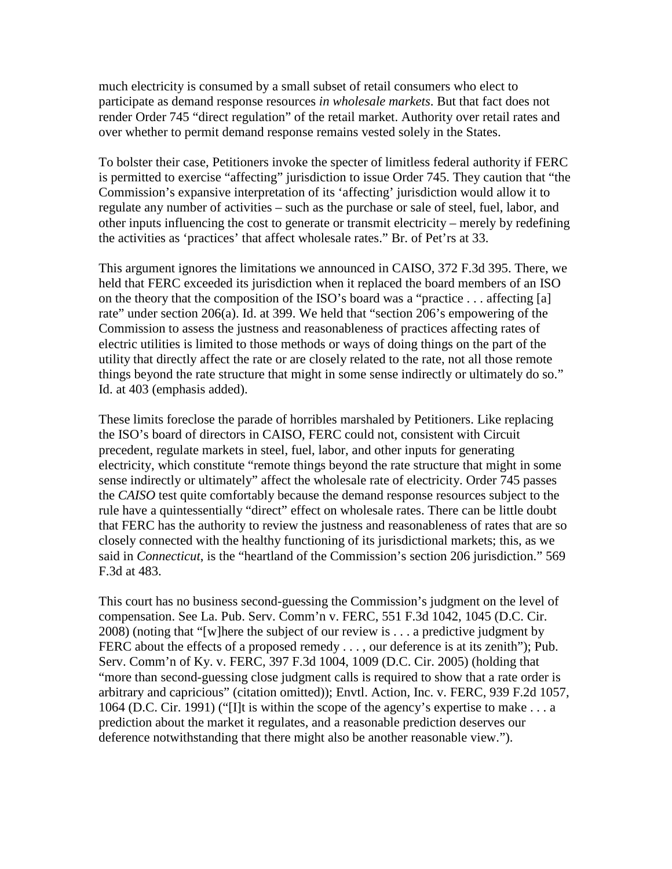much electricity is consumed by a small subset of retail consumers who elect to participate as demand response resources *in wholesale markets*. But that fact does not render Order 745 "direct regulation" of the retail market. Authority over retail rates and over whether to permit demand response remains vested solely in the States.

To bolster their case, Petitioners invoke the specter of limitless federal authority if FERC is permitted to exercise "affecting" jurisdiction to issue Order 745. They caution that "the Commission's expansive interpretation of its 'affecting' jurisdiction would allow it to regulate any number of activities – such as the purchase or sale of steel, fuel, labor, and other inputs influencing the cost to generate or transmit electricity – merely by redefining the activities as 'practices' that affect wholesale rates." Br. of Pet'rs at 33.

This argument ignores the limitations we announced in CAISO, 372 F.3d 395. There, we held that FERC exceeded its jurisdiction when it replaced the board members of an ISO on the theory that the composition of the ISO's board was a "practice . . . affecting [a] rate" under section 206(a). Id. at 399. We held that "section 206's empowering of the Commission to assess the justness and reasonableness of practices affecting rates of electric utilities is limited to those methods or ways of doing things on the part of the utility that directly affect the rate or are closely related to the rate, not all those remote things beyond the rate structure that might in some sense indirectly or ultimately do so." Id. at 403 (emphasis added).

These limits foreclose the parade of horribles marshaled by Petitioners. Like replacing the ISO's board of directors in CAISO, FERC could not, consistent with Circuit precedent, regulate markets in steel, fuel, labor, and other inputs for generating electricity, which constitute "remote things beyond the rate structure that might in some sense indirectly or ultimately" affect the wholesale rate of electricity. Order 745 passes the *CAISO* test quite comfortably because the demand response resources subject to the rule have a quintessentially "direct" effect on wholesale rates. There can be little doubt that FERC has the authority to review the justness and reasonableness of rates that are so closely connected with the healthy functioning of its jurisdictional markets; this, as we said in *Connecticut*, is the "heartland of the Commission's section 206 jurisdiction." 569 F.3d at 483.

This court has no business second-guessing the Commission's judgment on the level of compensation. See La. Pub. Serv. Comm'n v. FERC, 551 F.3d 1042, 1045 (D.C. Cir. 2008) (noting that "[w]here the subject of our review is . . . a predictive judgment by FERC about the effects of a proposed remedy . . . , our deference is at its zenith"); Pub. Serv. Comm'n of Ky. v. FERC, 397 F.3d 1004, 1009 (D.C. Cir. 2005) (holding that "more than second-guessing close judgment calls is required to show that a rate order is arbitrary and capricious" (citation omitted)); Envtl. Action, Inc. v. FERC, 939 F.2d 1057, 1064 (D.C. Cir. 1991) ("[I]t is within the scope of the agency's expertise to make . . . a prediction about the market it regulates, and a reasonable prediction deserves our deference notwithstanding that there might also be another reasonable view.").